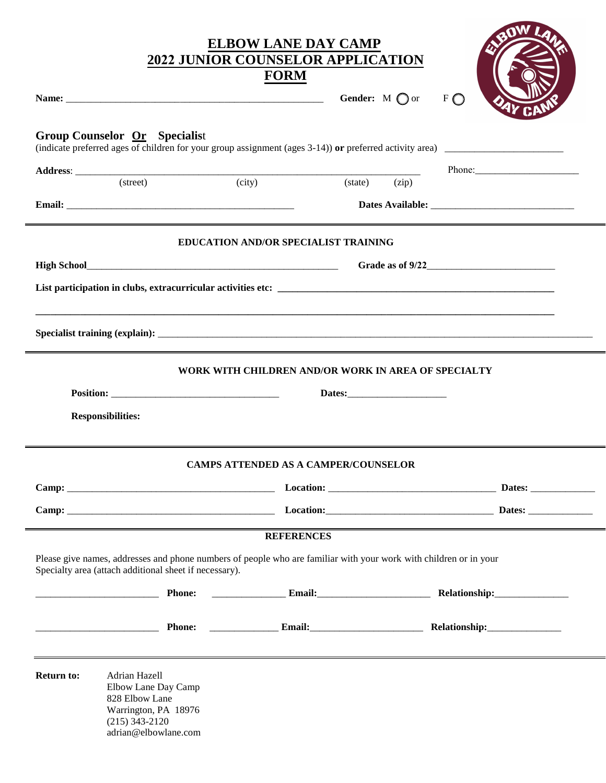|                   |                                                                                                                            | <b>ELBOW LANE DAY CAMP</b><br><b>2022 JUNIOR COUNSELOR APPLICATION</b>                                            |                                        |
|-------------------|----------------------------------------------------------------------------------------------------------------------------|-------------------------------------------------------------------------------------------------------------------|----------------------------------------|
|                   |                                                                                                                            | <b>FORM</b>                                                                                                       |                                        |
|                   |                                                                                                                            |                                                                                                                   | <b>Gender:</b> $M \bigcap$ or<br>$F$ O |
|                   | Group Counselor Or Specialist                                                                                              |                                                                                                                   |                                        |
|                   |                                                                                                                            |                                                                                                                   | Phone: 2000 Phone:                     |
|                   | (street)                                                                                                                   | (city)<br>(state)                                                                                                 | (zip)                                  |
|                   |                                                                                                                            |                                                                                                                   |                                        |
|                   |                                                                                                                            | <b>EDUCATION AND/OR SPECIALIST TRAINING</b>                                                                       |                                        |
|                   |                                                                                                                            |                                                                                                                   | Grade as of $9/22$                     |
|                   |                                                                                                                            |                                                                                                                   |                                        |
|                   |                                                                                                                            |                                                                                                                   |                                        |
|                   |                                                                                                                            |                                                                                                                   |                                        |
|                   |                                                                                                                            |                                                                                                                   |                                        |
|                   |                                                                                                                            | WORK WITH CHILDREN AND/OR WORK IN AREA OF SPECIALTY                                                               |                                        |
|                   |                                                                                                                            |                                                                                                                   |                                        |
|                   | <b>Responsibilities:</b>                                                                                                   |                                                                                                                   |                                        |
|                   |                                                                                                                            |                                                                                                                   |                                        |
|                   |                                                                                                                            | <b>CAMPS ATTENDED AS A CAMPER/COUNSELOR</b>                                                                       |                                        |
|                   |                                                                                                                            |                                                                                                                   |                                        |
|                   |                                                                                                                            |                                                                                                                   |                                        |
|                   |                                                                                                                            | <b>REFERENCES</b>                                                                                                 |                                        |
|                   | Specialty area (attach additional sheet if necessary).                                                                     | Please give names, addresses and phone numbers of people who are familiar with your work with children or in your |                                        |
|                   | <b>Phone:</b>                                                                                                              |                                                                                                                   |                                        |
|                   |                                                                                                                            |                                                                                                                   |                                        |
| <b>Return to:</b> | Adrian Hazell<br>Elbow Lane Day Camp<br>828 Elbow Lane<br>Warrington, PA 18976<br>$(215)$ 343-2120<br>adrian@elbowlane.com |                                                                                                                   |                                        |